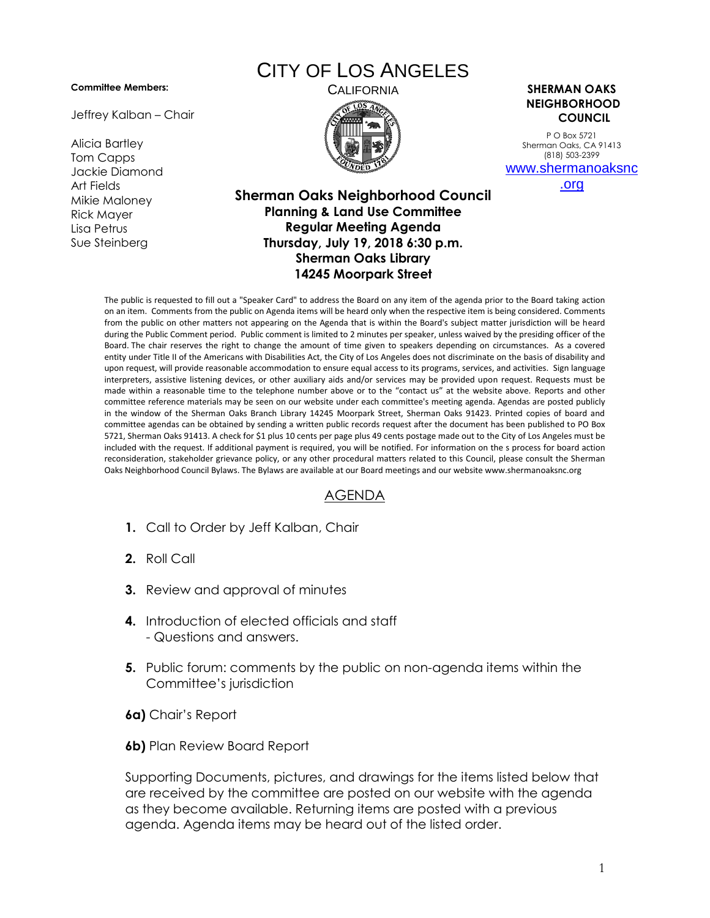## **Committee Members:**

Jeffrey Kalban – Chair

Alicia Bartley Tom Capps Jackie Diamond Art Fields Mikie Maloney Rick Mayer Lisa Petrus Sue Steinberg

## CITY OF LOS ANGELES



CALIFORNIA **SHERMAN OAKS NEIGHBORHOOD COUNCIL**

> P O Box 5721 Sherman Oaks, CA 91413 (818) 503-2399 [www.shermanoaksnc](http://www.shermanoaksnc.org/)

> > [.org](http://www.shermanoaksnc.org/)

## **Sherman Oaks Neighborhood Council Planning & Land Use Committee Regular Meeting Agenda Thursday, July 19, 2018 6:30 p.m. Sherman Oaks Library 14245 Moorpark Street**

The public is requested to fill out a "Speaker Card" to address the Board on any item of the agenda prior to the Board taking action on an item. Comments from the public on Agenda items will be heard only when the respective item is being considered. Comments from the public on other matters not appearing on the Agenda that is within the Board's subject matter jurisdiction will be heard during the Public Comment period. Public comment is limited to 2 minutes per speaker, unless waived by the presiding officer of the Board. The chair reserves the right to change the amount of time given to speakers depending on circumstances. As a covered entity under Title II of the Americans with Disabilities Act, the City of Los Angeles does not discriminate on the basis of disability and upon request, will provide reasonable accommodation to ensure equal access to its programs, services, and activities. Sign language interpreters, assistive listening devices, or other auxiliary aids and/or services may be provided upon request. Requests must be made within a reasonable time to the telephone number above or to the "contact us" at the website above. Reports and other committee reference materials may be seen on our website under each committee's meeting agenda. Agendas are posted publicly in the window of the Sherman Oaks Branch Library 14245 Moorpark Street, Sherman Oaks 91423. Printed copies of board and committee agendas can be obtained by sending a written public records request after the document has been published to PO Box 5721, Sherman Oaks 91413. A check for \$1 plus 10 cents per page plus 49 cents postage made out to the City of Los Angeles must be included with the request. If additional payment is required, you will be notified. For information on the s process for board action reconsideration, stakeholder grievance policy, or any other procedural matters related to this Council, please consult the Sherman Oaks Neighborhood Council Bylaws. The Bylaws are available at our Board meetings and our website www.shermanoaksnc.org

## AGENDA

- **1.** Call to Order by Jeff Kalban, Chair
- **2.** Roll Call
- **3.** Review and approval of minutes
- **4.** Introduction of elected officials and staff - Questions and answers.
- **5.** Public forum: comments by the public on non-agenda items within the Committee's jurisdiction
- **6a)** Chair's Report
- **6b)** Plan Review Board Report

Supporting Documents, pictures, and drawings for the items listed below that are received by the committee are posted on our website with the agenda as they become available. Returning items are posted with a previous agenda. Agenda items may be heard out of the listed order.